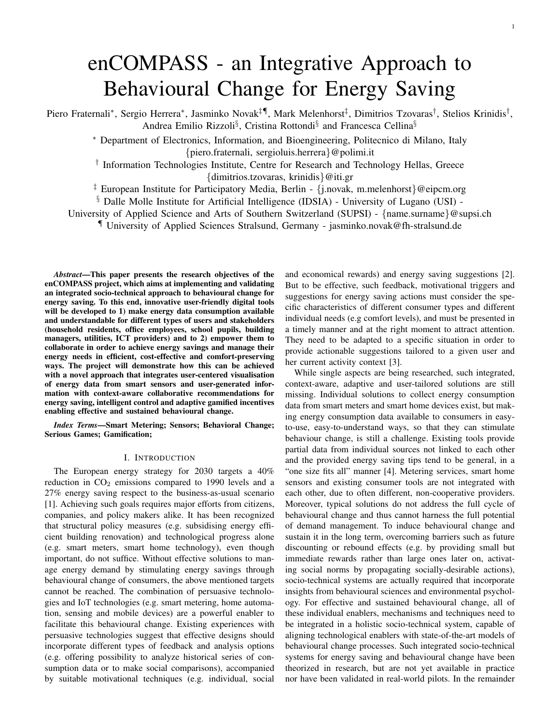# enCOMPASS - an Integrative Approach to Behavioural Change for Energy Saving

Piero Fraternali\*, Sergio Herrera\*, Jasminko Novak‡¶, Mark Melenhorst<sup>‡</sup>, Dimitrios Tzovaras<sup>†</sup>, Stelios Krinidis<sup>†</sup>, Andrea Emilio Rizzoli<sup>§</sup>, Cristina Rottondi<sup>§</sup> and Francesca Cellina<sup>§</sup>

<sup>∗</sup> Department of Electronics, Information, and Bioengineering, Politecnico di Milano, Italy {piero.fraternali, sergioluis.herrera}@polimi.it

† Information Technologies Institute, Centre for Research and Technology Hellas, Greece {dimitrios.tzovaras, krinidis}@iti.gr

<sup>‡</sup> European Institute for Participatory Media, Berlin - {j.novak, m.melenhorst}@eipcm.org

§ Dalle Molle Institute for Artificial Intelligence (IDSIA) - University of Lugano (USI) -

University of Applied Science and Arts of Southern Switzerland (SUPSI) - {name.surname}@supsi.ch

¶ University of Applied Sciences Stralsund, Germany - jasminko.novak@fh-stralsund.de

*Abstract*—This paper presents the research objectives of the enCOMPASS project, which aims at implementing and validating an integrated socio-technical approach to behavioural change for energy saving. To this end, innovative user-friendly digital tools will be developed to 1) make energy data consumption available and understandable for different types of users and stakeholders (household residents, office employees, school pupils, building managers, utilities, ICT providers) and to 2) empower them to collaborate in order to achieve energy savings and manage their energy needs in efficient, cost-effective and comfort-preserving ways. The project will demonstrate how this can be achieved with a novel approach that integrates user-centered visualisation of energy data from smart sensors and user-generated information with context-aware collaborative recommendations for energy saving, intelligent control and adaptive gamified incentives enabling effective and sustained behavioural change.

*Index Terms*—Smart Metering; Sensors; Behavioral Change; Serious Games; Gamification;

# I. INTRODUCTION

The European energy strategy for 2030 targets a 40% reduction in  $CO<sub>2</sub>$  emissions compared to 1990 levels and a 27% energy saving respect to the business-as-usual scenario [1]. Achieving such goals requires major efforts from citizens, companies, and policy makers alike. It has been recognized that structural policy measures (e.g. subsidising energy efficient building renovation) and technological progress alone (e.g. smart meters, smart home technology), even though important, do not suffice. Without effective solutions to manage energy demand by stimulating energy savings through behavioural change of consumers, the above mentioned targets cannot be reached. The combination of persuasive technologies and IoT technologies (e.g. smart metering, home automation, sensing and mobile devices) are a powerful enabler to facilitate this behavioural change. Existing experiences with persuasive technologies suggest that effective designs should incorporate different types of feedback and analysis options (e.g. offering possibility to analyze historical series of consumption data or to make social comparisons), accompanied by suitable motivational techniques (e.g. individual, social

and economical rewards) and energy saving suggestions [2]. But to be effective, such feedback, motivational triggers and suggestions for energy saving actions must consider the specific characteristics of different consumer types and different individual needs (e.g comfort levels), and must be presented in a timely manner and at the right moment to attract attention. They need to be adapted to a specific situation in order to provide actionable suggestions tailored to a given user and her current activity context [3].

While single aspects are being researched, such integrated, context-aware, adaptive and user-tailored solutions are still missing. Individual solutions to collect energy consumption data from smart meters and smart home devices exist, but making energy consumption data available to consumers in easyto-use, easy-to-understand ways, so that they can stimulate behaviour change, is still a challenge. Existing tools provide partial data from individual sources not linked to each other and the provided energy saving tips tend to be general, in a "one size fits all" manner [4]. Metering services, smart home sensors and existing consumer tools are not integrated with each other, due to often different, non-cooperative providers. Moreover, typical solutions do not address the full cycle of behavioural change and thus cannot harness the full potential of demand management. To induce behavioural change and sustain it in the long term, overcoming barriers such as future discounting or rebound effects (e.g. by providing small but immediate rewards rather than large ones later on, activating social norms by propagating socially-desirable actions), socio-technical systems are actually required that incorporate insights from behavioural sciences and environmental psychology. For effective and sustained behavioural change, all of these individual enablers, mechanisms and techniques need to be integrated in a holistic socio-technical system, capable of aligning technological enablers with state-of-the-art models of behavioural change processes. Such integrated socio-technical systems for energy saving and behavioural change have been theorized in research, but are not yet available in practice nor have been validated in real-world pilots. In the remainder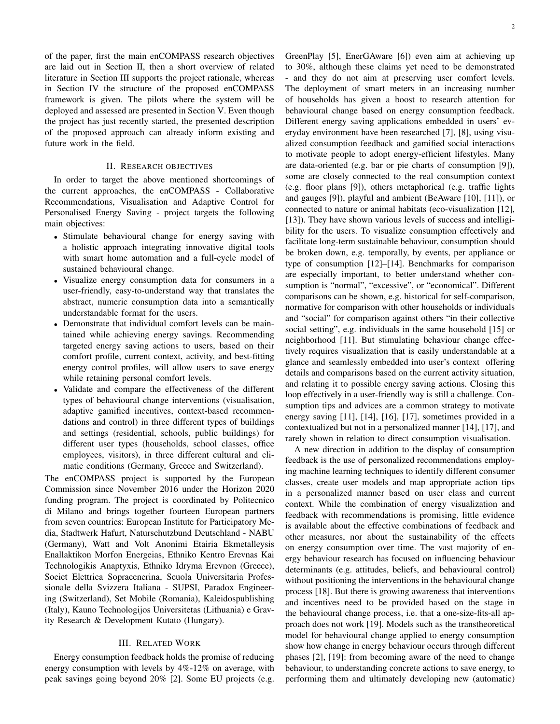of the paper, first the main enCOMPASS research objectives are laid out in Section II, then a short overview of related literature in Section III supports the project rationale, whereas in Section IV the structure of the proposed enCOMPASS framework is given. The pilots where the system will be deployed and assessed are presented in Section V. Even though the project has just recently started, the presented description of the proposed approach can already inform existing and future work in the field.

# II. RESEARCH OBJECTIVES

In order to target the above mentioned shortcomings of the current approaches, the enCOMPASS - Collaborative Recommendations, Visualisation and Adaptive Control for Personalised Energy Saving - project targets the following main objectives:

- Stimulate behavioural change for energy saving with a holistic approach integrating innovative digital tools with smart home automation and a full-cycle model of sustained behavioural change.
- Visualize energy consumption data for consumers in a user-friendly, easy-to-understand way that translates the abstract, numeric consumption data into a semantically understandable format for the users.
- Demonstrate that individual comfort levels can be maintained while achieving energy savings. Recommending targeted energy saving actions to users, based on their comfort profile, current context, activity, and best-fitting energy control profiles, will allow users to save energy while retaining personal comfort levels.
- Validate and compare the effectiveness of the different types of behavioural change interventions (visualisation, adaptive gamified incentives, context-based recommendations and control) in three different types of buildings and settings (residential, schools, public buildings) for different user types (households, school classes, office employees, visitors), in three different cultural and climatic conditions (Germany, Greece and Switzerland).

The enCOMPASS project is supported by the European Commission since November 2016 under the Horizon 2020 funding program. The project is coordinated by Politecnico di Milano and brings together fourteen European partners from seven countries: European Institute for Participatory Media, Stadtwerk Hafurt, Naturschutzbund Deutschland - NABU (Germany), Watt and Volt Anonimi Etairia Ekmetalleysis Enallaktikon Morfon Energeias, Ethniko Kentro Erevnas Kai Technologikis Anaptyxis, Ethniko Idryma Erevnon (Greece), Societ Elettrica Sopracenerina, Scuola Universitaria Professionale della Svizzera Italiana - SUPSI, Paradox Engineering (Switzerland), Set Mobile (Romania), Kaleidospublishing (Italy), Kauno Technologijos Universitetas (Lithuania) e Gravity Research & Development Kutato (Hungary).

# III. RELATED WORK

Energy consumption feedback holds the promise of reducing energy consumption with levels by 4%-12% on average, with peak savings going beyond 20% [2]. Some EU projects (e.g. GreenPlay [5], EnerGAware [6]) even aim at achieving up to 30%, although these claims yet need to be demonstrated - and they do not aim at preserving user comfort levels. The deployment of smart meters in an increasing number of households has given a boost to research attention for behavioural change based on energy consumption feedback. Different energy saving applications embedded in users' everyday environment have been researched [7], [8], using visualized consumption feedback and gamified social interactions to motivate people to adopt energy-efficient lifestyles. Many are data-oriented (e.g. bar or pie charts of consumption [9]), some are closely connected to the real consumption context (e.g. floor plans [9]), others metaphorical (e.g. traffic lights and gauges [9]), playful and ambient (BeAware [10], [11]), or connected to nature or animal habitats (eco-visualization [12], [13]). They have shown various levels of success and intelligibility for the users. To visualize consumption effectively and facilitate long-term sustainable behaviour, consumption should be broken down, e.g. temporally, by events, per appliance or type of consumption [12]–[14]. Benchmarks for comparison are especially important, to better understand whether consumption is "normal", "excessive", or "economical". Different comparisons can be shown, e.g. historical for self-comparison, normative for comparison with other households or individuals and "social" for comparison against others "in their collective social setting", e.g. individuals in the same household [15] or neighborhood [11]. But stimulating behaviour change effectively requires visualization that is easily understandable at a glance and seamlessly embedded into user's context offering details and comparisons based on the current activity situation, and relating it to possible energy saving actions. Closing this loop effectively in a user-friendly way is still a challenge. Consumption tips and advices are a common strategy to motivate energy saving [11], [14], [16], [17], sometimes provided in a contextualized but not in a personalized manner [14], [17], and rarely shown in relation to direct consumption visualisation.

A new direction in addition to the display of consumption feedback is the use of personalized recommendations employing machine learning techniques to identify different consumer classes, create user models and map appropriate action tips in a personalized manner based on user class and current context. While the combination of energy visualization and feedback with recommendations is promising, little evidence is available about the effective combinations of feedback and other measures, nor about the sustainability of the effects on energy consumption over time. The vast majority of energy behaviour research has focused on influencing behaviour determinants (e.g. attitudes, beliefs, and behavioural control) without positioning the interventions in the behavioural change process [18]. But there is growing awareness that interventions and incentives need to be provided based on the stage in the behavioural change process, i.e. that a one-size-fits-all approach does not work [19]. Models such as the transtheoretical model for behavioural change applied to energy consumption show how change in energy behaviour occurs through different phases [2], [19]: from becoming aware of the need to change behaviour, to understanding concrete actions to save energy, to performing them and ultimately developing new (automatic)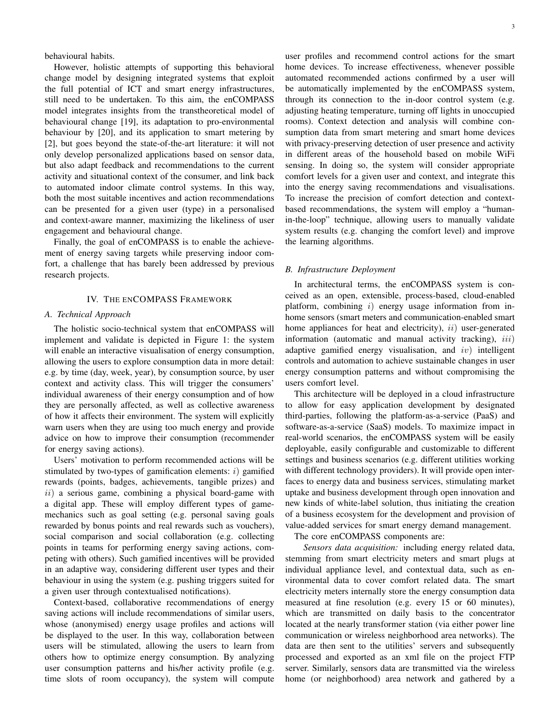behavioural habits.

However, holistic attempts of supporting this behavioral change model by designing integrated systems that exploit the full potential of ICT and smart energy infrastructures, still need to be undertaken. To this aim, the enCOMPASS model integrates insights from the transtheoretical model of behavioural change [19], its adaptation to pro-environmental behaviour by [20], and its application to smart metering by [2], but goes beyond the state-of-the-art literature: it will not only develop personalized applications based on sensor data, but also adapt feedback and recommendations to the current activity and situational context of the consumer, and link back to automated indoor climate control systems. In this way, both the most suitable incentives and action recommendations can be presented for a given user (type) in a personalised and context-aware manner, maximizing the likeliness of user engagement and behavioural change.

Finally, the goal of enCOMPASS is to enable the achievement of energy saving targets while preserving indoor comfort, a challenge that has barely been addressed by previous research projects.

## IV. THE ENCOMPASS FRAMEWORK

# *A. Technical Approach*

The holistic socio-technical system that enCOMPASS will implement and validate is depicted in Figure 1: the system will enable an interactive visualisation of energy consumption, allowing the users to explore consumption data in more detail: e.g. by time (day, week, year), by consumption source, by user context and activity class. This will trigger the consumers' individual awareness of their energy consumption and of how they are personally affected, as well as collective awareness of how it affects their environment. The system will explicitly warn users when they are using too much energy and provide advice on how to improve their consumption (recommender for energy saving actions).

Users' motivation to perform recommended actions will be stimulated by two-types of gamification elements:  $i)$  gamified rewards (points, badges, achievements, tangible prizes) and  $ii)$  a serious game, combining a physical board-game with a digital app. These will employ different types of gamemechanics such as goal setting (e.g. personal saving goals rewarded by bonus points and real rewards such as vouchers), social comparison and social collaboration (e.g. collecting points in teams for performing energy saving actions, competing with others). Such gamified incentives will be provided in an adaptive way, considering different user types and their behaviour in using the system (e.g. pushing triggers suited for a given user through contextualised notifications).

Context-based, collaborative recommendations of energy saving actions will include recommendations of similar users, whose (anonymised) energy usage profiles and actions will be displayed to the user. In this way, collaboration between users will be stimulated, allowing the users to learn from others how to optimize energy consumption. By analyzing user consumption patterns and his/her activity profile (e.g. time slots of room occupancy), the system will compute

user profiles and recommend control actions for the smart home devices. To increase effectiveness, whenever possible automated recommended actions confirmed by a user will be automatically implemented by the enCOMPASS system, through its connection to the in-door control system (e.g. adjusting heating temperature, turning off lights in unoccupied rooms). Context detection and analysis will combine consumption data from smart metering and smart home devices with privacy-preserving detection of user presence and activity in different areas of the household based on mobile WiFi sensing. In doing so, the system will consider appropriate comfort levels for a given user and context, and integrate this into the energy saving recommendations and visualisations. To increase the precision of comfort detection and contextbased recommendations, the system will employ a "humanin-the-loop" technique, allowing users to manually validate system results (e.g. changing the comfort level) and improve the learning algorithms.

#### *B. Infrastructure Deployment*

In architectural terms, the enCOMPASS system is conceived as an open, extensible, process-based, cloud-enabled platform, combining  $i$ ) energy usage information from inhome sensors (smart meters and communication-enabled smart home appliances for heat and electricity),  $ii)$  user-generated information (automatic and manual activity tracking),  $iii$ ) adaptive gamified energy visualisation, and  $iv$ ) intelligent controls and automation to achieve sustainable changes in user energy consumption patterns and without compromising the users comfort level.

This architecture will be deployed in a cloud infrastructure to allow for easy application development by designated third-parties, following the platform-as-a-service (PaaS) and software-as-a-service (SaaS) models. To maximize impact in real-world scenarios, the enCOMPASS system will be easily deployable, easily configurable and customizable to different settings and business scenarios (e.g. different utilities working with different technology providers). It will provide open interfaces to energy data and business services, stimulating market uptake and business development through open innovation and new kinds of white-label solution, thus initiating the creation of a business ecosystem for the development and provision of value-added services for smart energy demand management.

The core enCOMPASS components are:

*Sensors data acquisition:* including energy related data, stemming from smart electricity meters and smart plugs at individual appliance level, and contextual data, such as environmental data to cover comfort related data. The smart electricity meters internally store the energy consumption data measured at fine resolution (e.g. every 15 or 60 minutes), which are transmitted on daily basis to the concentrator located at the nearly transformer station (via either power line communication or wireless neighborhood area networks). The data are then sent to the utilities' servers and subsequently processed and exported as an xml file on the project FTP server. Similarly, sensors data are transmitted via the wireless home (or neighborhood) area network and gathered by a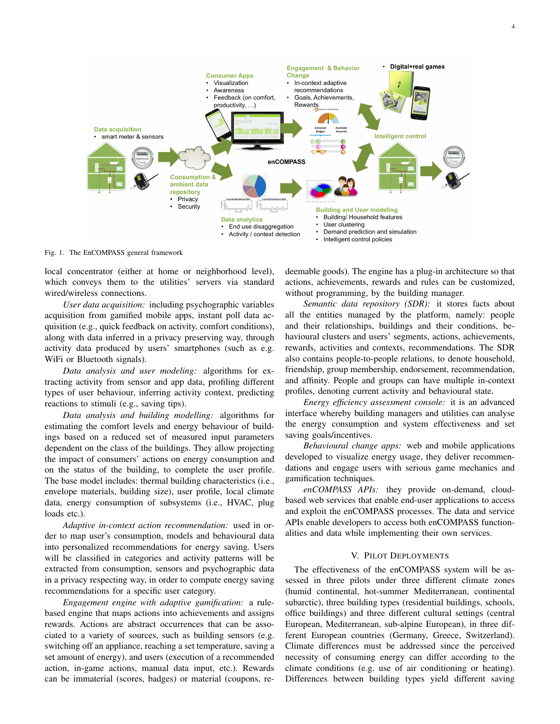

Fig. 1. The EnCOMPASS general framework

local concentrator (either at home or neighborhood level), which conveys them to the utilities' servers via standard wired/wireless connections.

*User data acquisition:* including psychographic variables acquisition from gamified mobile apps, instant poll data acquisition (e.g., quick feedback on activity, comfort conditions), along with data inferred in a privacy preserving way, through activity data produced by users' smartphones (such as e.g. WiFi or Bluetooth signals).

*Data analysis and user modeling:* algorithms for extracting activity from sensor and app data, profiling different types of user behaviour, inferring activity context, predicting reactions to stimuli (e.g., saving tips).

*Data analysis and building modelling:* algorithms for estimating the comfort levels and energy behaviour of buildings based on a reduced set of measured input parameters dependent on the class of the buildings. They allow projecting the impact of consumers' actions on energy consumption and on the status of the building, to complete the user profile. The base model includes: thermal building characteristics (i.e., envelope materials, building size), user profile, local climate data, energy consumption of subsystems (i.e., HVAC, plug loads etc.).

*Adaptive in-context action recommendation:* used in order to map user's consumption, models and behavioural data into personalized recommendations for energy saving. Users will be classified in categories and activity patterns will be extracted from consumption, sensors and psychographic data in a privacy respecting way, in order to compute energy saving recommendations for a specific user category.

*Engagement engine with adaptive gamification:* a rulebased engine that maps actions into achievements and assigns rewards. Actions are abstract occurrences that can be associated to a variety of sources, such as building sensors (e.g. switching off an appliance, reaching a set temperature, saving a set amount of energy), and users (execution of a recommended action, in-game actions, manual data input, etc.). Rewards can be immaterial (scores, badges) or material (coupons, redeemable goods). The engine has a plug-in architecture so that actions, achievements, rewards and rules can be customized, without programming, by the building manager.

*Semantic data repository (SDR):* it stores facts about all the entities managed by the platform, namely: people and their relationships, buildings and their conditions, behavioural clusters and users' segments, actions, achievements, rewards, activities and contexts, recommendations. The SDR also contains people-to-people relations, to denote household, friendship, group membership, endorsement, recommendation, and affinity. People and groups can have multiple in-context profiles, denoting current activity and behavioural state.

*Energy efficiency assessment console:* it is an advanced interface whereby building managers and utilities can analyse the energy consumption and system effectiveness and set saving goals/incentives.

*Behavioural change apps:* web and mobile applications developed to visualize energy usage, they deliver recommendations and engage users with serious game mechanics and gamification techniques.

*enCOMPASS APIs:* they provide on-demand, cloudbased web services that enable end-user applications to access and exploit the enCOMPASS processes. The data and service APIs enable developers to access both enCOMPASS functionalities and data while implementing their own services.

## V. PILOT DEPLOYMENTS

The effectiveness of the enCOMPASS system will be assessed in three pilots under three different climate zones (humid continental, hot-summer Mediterranean, continental subarctic), three building types (residential buildings, schools, office buildings) and three different cultural settings (central European, Mediterranean, sub-alpine European), in three different European countries (Germany, Greece, Switzerland). Climate differences must be addressed since the perceived necessity of consuming energy can differ according to the climate conditions (e.g. use of air conditioning or heating). Differences between building types yield different saving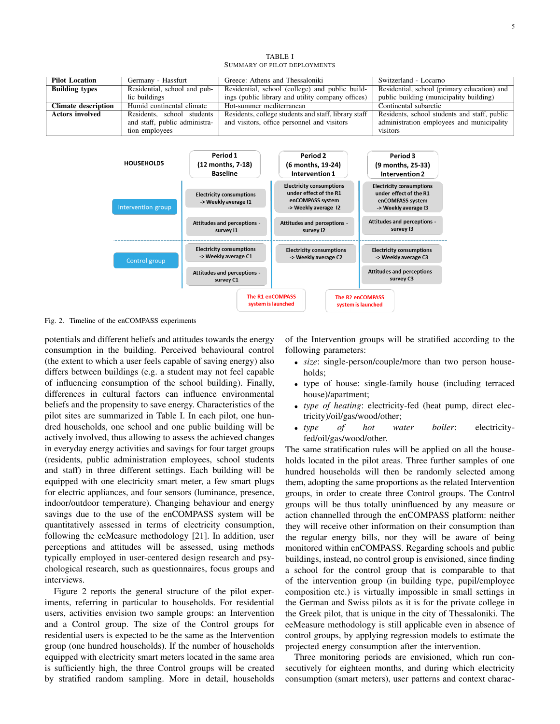| <b>Pilot Location</b>      | Germany - Hassfurt            | Greece: Athens and Thessaloniki                      | Switzerland - Locarno                        |
|----------------------------|-------------------------------|------------------------------------------------------|----------------------------------------------|
| <b>Building types</b>      | Residential, school and pub-  | Residential, school (college) and public build-      | Residential, school (primary education) and  |
|                            | lic buildings                 | ings (public library and utility company offices)    | public building (municipality building)      |
| <b>Climate description</b> | Humid continental climate     | Hot-summer mediterranean                             | Continental subarctic                        |
| <b>Actors involved</b>     | Residents, school students    | Residents, college students and staff, library staff | Residents, school students and staff, public |
|                            | and staff, public administra- | and visitors, office personnel and visitors          | administration employees and municipality    |
|                            | tion employees                |                                                      | visitors                                     |

TABLE I SUMMARY OF PILOT DEPLOYMENTS



Fig. 2. Timeline of the enCOMPASS experiments

potentials and different beliefs and attitudes towards the energy consumption in the building. Perceived behavioural control (the extent to which a user feels capable of saving energy) also differs between buildings (e.g. a student may not feel capable of influencing consumption of the school building). Finally, differences in cultural factors can influence environmental beliefs and the propensity to save energy. Characteristics of the pilot sites are summarized in Table I. In each pilot, one hundred households, one school and one public building will be actively involved, thus allowing to assess the achieved changes in everyday energy activities and savings for four target groups (residents, public administration employees, school students and staff) in three different settings. Each building will be equipped with one electricity smart meter, a few smart plugs for electric appliances, and four sensors (luminance, presence, indoor/outdoor temperature). Changing behaviour and energy savings due to the use of the enCOMPASS system will be quantitatively assessed in terms of electricity consumption, following the eeMeasure methodology [21]. In addition, user perceptions and attitudes will be assessed, using methods typically employed in user-centered design research and psychological research, such as questionnaires, focus groups and interviews.

Figure 2 reports the general structure of the pilot experiments, referring in particular to households. For residential users, activities envision two sample groups: an Intervention and a Control group. The size of the Control groups for residential users is expected to be the same as the Intervention group (one hundred households). If the number of households equipped with electricity smart meters located in the same area is sufficiently high, the three Control groups will be created by stratified random sampling. More in detail, households

of the Intervention groups will be stratified according to the following parameters:

- *size*: single-person/couple/more than two person households;
- type of house: single-family house (including terraced house)/apartment;
- *type of heating*: electricity-fed (heat pump, direct electricity)/oil/gas/wood/other;
- *type of hot water boiler*: electricityfed/oil/gas/wood/other.

The same stratification rules will be applied on all the households located in the pilot areas. Three further samples of one hundred households will then be randomly selected among them, adopting the same proportions as the related Intervention groups, in order to create three Control groups. The Control groups will be thus totally uninfluenced by any measure or action channelled through the enCOMPASS platform: neither they will receive other information on their consumption than the regular energy bills, nor they will be aware of being monitored within enCOMPASS. Regarding schools and public buildings, instead, no control group is envisioned, since finding a school for the control group that is comparable to that of the intervention group (in building type, pupil/employee composition etc.) is virtually impossible in small settings in the German and Swiss pilots as it is for the private college in the Greek pilot, that is unique in the city of Thessaloniki. The eeMeasure methodology is still applicable even in absence of control groups, by applying regression models to estimate the projected energy consumption after the intervention.

Three monitoring periods are envisioned, which run consecutively for eighteen months, and during which electricity consumption (smart meters), user patterns and context charac